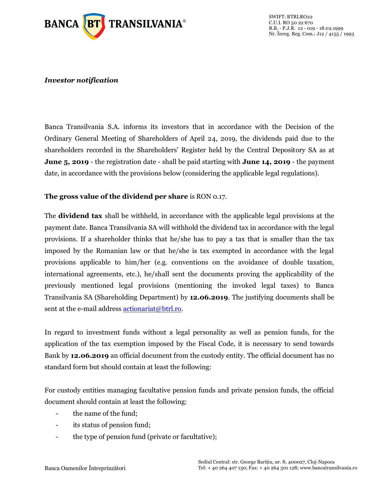

## *Investor notification*

Banca Transilvania S.A. informs its investors that in accordance with the Decision of the Ordinary General Meeting of Shareholders of April 24, 2019, the dividends paid due to the shareholders recorded in the Shareholders' Register held by the Central Depository SA as at **June 5, 2019** - the registration date - shall be paid starting with **June 14, 2019** - the payment date, in accordance with the provisions below (considering the applicable legal regulations).

## **The gross value of the dividend per share** is RON 0.17.

The **dividend tax** shall be withheld, in accordance with the applicable legal provisions at the payment date. Banca Transilvania SA will withhold the dividend tax in accordance with the legal provisions. If a shareholder thinks that he/she has to pay a tax that is smaller than the tax imposed by the Romanian law or that he/she is tax exempted in accordance with the legal provisions applicable to him/her (e.g. conventions on the avoidance of double taxation, international agreements, etc.), he/shall sent the documents proving the applicability of the previously mentioned legal provisions (mentioning the invoked legal taxes) to Banca Transilvania SA (Shareholding Department) by **12.06.2019**. The justifying documents shall be sent at the e-mail address [actionariat@btrl.ro.](mailto:actionariat@btrl.ro)

In regard to investment funds without a legal personality as well as pension funds, for the application of the tax exemption imposed by the Fiscal Code, it is necessary to send towards Bank by **12.06.2019** an official document from the custody entity. The official document has no standard form but should contain at least the following:

For custody entities managing facultative pension funds and private pension funds, the official document should contain at least the following:

- the name of the fund;
- its status of pension fund;
- the type of pension fund (private or facultative);